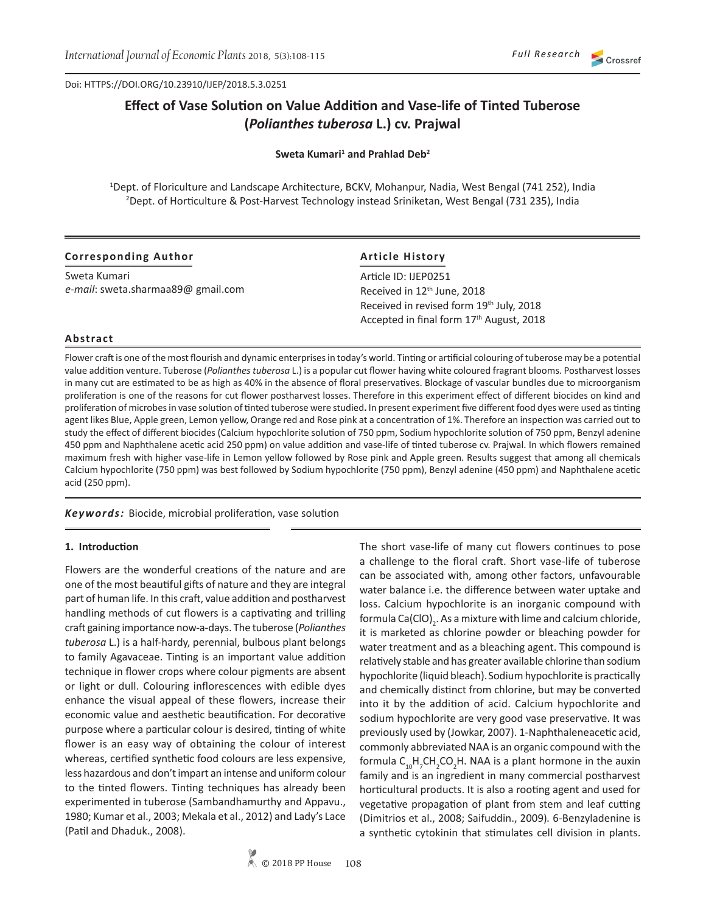Doi: HTTPS://DOI.ORG/10.23910/IJEP/2018.5.3.0251

# **Effect of Vase Solution on Value Addition and Vase-life of Tinted Tuberose (***Polianthes tuberosa* **L.) cv. Prajwal**

### **Sweta Kumari<sup>1</sup> and Prahlad Deb<sup>2</sup>**

1 Dept. of Floriculture and Landscape Architecture, BCKV, Mohanpur, Nadia, West Bengal (741 252), India 2 Dept. of Horticulture & Post-Harvest Technology instead Sriniketan, West Bengal (731 235), India

### **Corresponding Author**

Sweta Kumari *e-mail*: sweta.sharmaa89@ gmail.com

# **Article History**

Article ID: IJEP0251 Received in 12<sup>th</sup> June, 2018 Received in revised form 19<sup>th</sup> July, 2018 Accepted in final form 17<sup>th</sup> August, 2018

### **Abstract**

Flower craft is one of the most flourish and dynamic enterprises in today's world. Tinting or artificial colouring of tuberose may be a potential value addition venture. Tuberose (*Polianthestuberosa* L.) is a popular cut flower having white coloured fragrant blooms. Postharvest losses in many cut are estimated to be as high as 40% in the absence of floral preservatives. Blockage of vascular bundles due to microorganism proliferation is one of the reasons for cut flower postharvest losses. Therefore in this experiment effect of different biocides on kind and proliferation of microbes in vase solution of tinted tuberose were studied**.** In present experiment five different food dyes were used as tinting agent likes Blue, Apple green, Lemon yellow, Orange red and Rose pink at a concentration of 1%. Therefore an inspection was carried out to study the effect of different biocides (Calcium hypochlorite solution of 750 ppm, Sodium hypochlorite solution of 750 ppm, Benzyl adenine 450 ppm and Naphthalene acetic acid 250 ppm) on value addition and vase-life of tinted tuberose cv. Prajwal. In which flowers remained maximum fresh with higher vase-life in Lemon yellow followed by Rose pink and Apple green. Results suggest that among all chemicals Calcium hypochlorite (750 ppm) was best followed by Sodium hypochlorite (750 ppm), Benzyl adenine (450 ppm) and Naphthalene acetic acid (250 ppm).

### *Keywords:* Biocide, microbial proliferation, vase solution

#### **1. Introduction**

Flowers are the wonderful creations of the nature and are one of the most beautiful gifts of nature and they are integral part of human life. In this craft, value addition and postharvest handling methods of cut flowers is a captivating and trilling craft gaining importance now-a-days. The tuberose (*Polianthes tuberosa* L.) is a half-hardy, perennial, bulbous plant belongs to family Agavaceae. Tinting is an important value addition technique in flower crops where colour pigments are absent or light or dull. Colouring inflorescences with edible dyes enhance the visual appeal of these flowers, increase their economic value and aesthetic beautification. For decorative purpose where a particular colour is desired, tinting of white flower is an easy way of obtaining the colour of interest whereas, certified synthetic food colours are less expensive, less hazardous and don't impart an intense and uniform colour to the tinted flowers. Tinting techniques has already been experimented in tuberose (Sambandhamurthy and Appavu., 1980; Kumar et al., 2003; Mekala et al., 2012) and Lady's Lace (Patil and Dhaduk., 2008).

The short vase-life of many cut flowers continues to pose a challenge to the floral craft. Short vase-life of tuberose can be associated with, among other factors, unfavourable water balance i.e. the difference between water uptake and loss. Calcium hypochlorite is an inorganic compound with formula Ca(ClO)<sub>2</sub>. As a mixture with lime and calcium chloride, it is marketed as chlorine powder or bleaching powder for water treatment and as a bleaching agent. This compound is relatively stable and has greater available chlorine than sodium hypochlorite (liquid bleach). Sodium hypochlorite is practically and chemically distinct from chlorine, but may be converted into it by the addition of acid. Calcium hypochlorite and sodium hypochlorite are very good vase preservative. It was previously used by (Jowkar, 2007). 1-Naphthaleneacetic acid, commonly abbreviated NAA is an organic compound with the formula  $C_{10}H_{7}CH_{2}CO_{2}H$ . NAA is a plant hormone in the auxin family and is an ingredient in many commercial postharvest horticultural products. It is also a rooting agent and used for vegetative propagation of plant from stem and leaf cutting (Dimitrios et al., 2008; Saifuddin., 2009)*.* 6-Benzyladenine is a synthetic cytokinin that stimulates cell division in plants.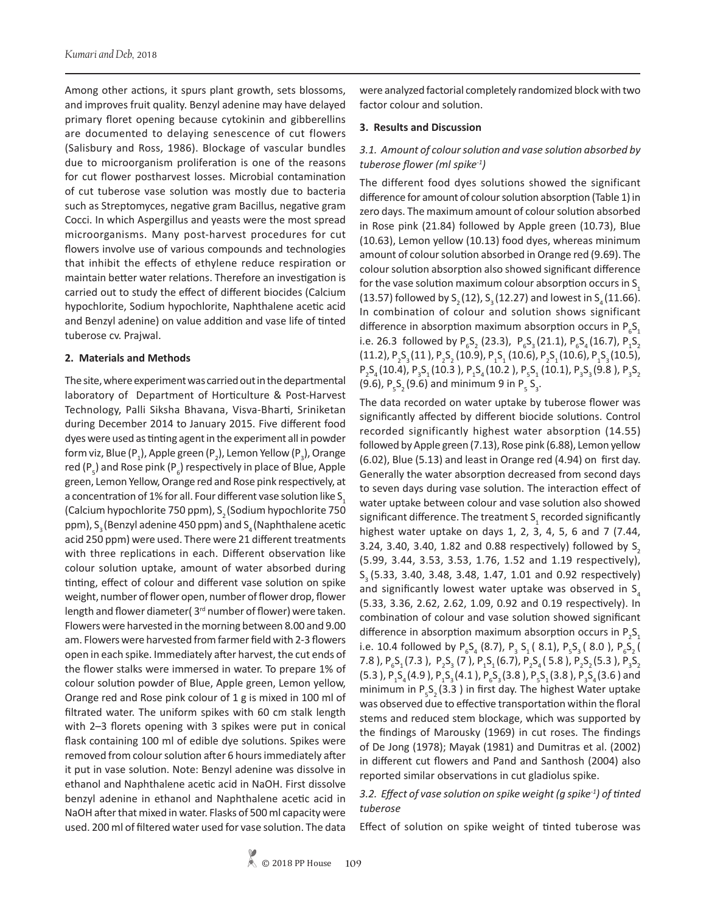Among other actions, it spurs plant growth, sets blossoms, and improves fruit quality. Benzyl adenine may have delayed primary floret opening because cytokinin and gibberellins are documented to delaying senescence of cut flowers (Salisbury and Ross, 1986). Blockage of vascular bundles due to microorganism proliferation is one of the reasons for cut flower postharvest losses. Microbial contamination of cut tuberose vase solution was mostly due to bacteria such as Streptomyces, negative gram Bacillus, negative gram Cocci. In which Aspergillus and yeasts were the most spread microorganisms. Many post-harvest procedures for cut flowers involve use of various compounds and technologies that inhibit the effects of ethylene reduce respiration or maintain better water relations. Therefore an investigation is carried out to study the effect of different biocides (Calcium hypochlorite, Sodium hypochlorite, Naphthalene acetic acid and Benzyl adenine) on value addition and vase life of tinted tuberose cv. Prajwal.

### **2. Materials and Methods**

The site, where experiment was carried out in the departmental laboratory of Department of Horticulture & Post-Harvest Technology, Palli Siksha Bhavana, Visva-Bharti, Sriniketan during December 2014 to January 2015. Five different food dyes were used as tinting agent in the experiment all in powder form viz, Blue (P<sub>1</sub>), Apple green (P<sub>2</sub>), Lemon Yellow (P<sub>3</sub>), Orange red (P<sub>5</sub>) and Rose pink (P<sub>6</sub>) respectively in place of Blue, Apple green, Lemon Yellow, Orange red and Rose pink respectively, at a concentration of 1% for all. Four different vase solution like S. (Calcium hypochlorite 750 ppm), S<sub>2</sub> (Sodium hypochlorite 750 ppm),  $S<sub>3</sub>$  (Benzyl adenine 450 ppm) and  $S<sub>4</sub>$  (Naphthalene acetic acid 250 ppm) were used. There were 21 different treatments with three replications in each. Different observation like colour solution uptake, amount of water absorbed during tinting, effect of colour and different vase solution on spike weight, number of flower open, number of flower drop, flower length and flower diameter (3<sup>rd</sup> number of flower) were taken. Flowers were harvested in the morning between 8.00 and 9.00 am. Flowers were harvested from farmer field with 2-3 flowers open in each spike. Immediately after harvest, the cut ends of the flower stalks were immersed in water. To prepare 1% of colour solution powder of Blue, Apple green, Lemon yellow, Orange red and Rose pink colour of 1 g is mixed in 100 ml of filtrated water. The uniform spikes with 60 cm stalk length with 2–3 florets opening with 3 spikes were put in conical flask containing 100 ml of edible dye solutions. Spikes were removed from colour solution after 6 hours immediately after it put in vase solution. Note: Benzyl adenine was dissolve in ethanol and Naphthalene acetic acid in NaOH. First dissolve benzyl adenine in ethanol and Naphthalene acetic acid in NaOH after that mixed in water. Flasks of 500 ml capacity were used. 200 ml of filtered water used for vase solution. The data

were analyzed factorial completely randomized block with two factor colour and solution.

### **3. Results and Discussion**

# *3.1. Amount of colour solution and vase solution absorbed by tuberose flower (ml spike-1)*

The different food dyes solutions showed the significant difference for amount of colour solution absorption (Table 1) in zero days. The maximum amount of colour solution absorbed in Rose pink (21.84) followed by Apple green (10.73), Blue (10.63), Lemon yellow (10.13) food dyes, whereas minimum amount of colour solution absorbed in Orange red (9.69). The colour solution absorption also showed significant difference for the vase solution maximum colour absorption occurs in  $S<sub>1</sub>$ (13.57) followed by  $S_2 (12)$ ,  $S_3 (12.27)$  and lowest in  $S_4 (11.66)$ . In combination of colour and solution shows significant difference in absorption maximum absorption occurs in  $P_6S_1$ i.e. 26.3 followed by  $P_6S_2$  (23.3),  $P_6S_3$  (21.1),  $P_6S_4$  (16.7),  $P_1S_2$  $(11.2)$ ,  $P_2S_3(11)$ ,  $P_2S_2(10.9)$ ,  $P_1S_1(10.6)$ ,  $P_2S_1(10.6)$ ,  $P_1S_3(10.5)$ ,  $P_2S_4(10.4)$ ,  $P_3S_1(10.3)$ ,  $P_1S_4(10.2)$ ,  $P_5S_1(10.1)$ ,  $P_3S_3(9.8)$ ,  $P_3S_2$ (9.6),  $P_5S_2(9.6)$  and minimum 9 in  $P_5S_3$ .

The data recorded on water uptake by tuberose flower was significantly affected by different biocide solutions. Control recorded significantly highest water absorption (14.55) followed by Apple green (7.13), Rose pink (6.88), Lemon yellow (6.02), Blue (5.13) and least in Orange red (4.94) on first day. Generally the water absorption decreased from second days to seven days during vase solution. The interaction effect of water uptake between colour and vase solution also showed significant difference. The treatment  $\mathsf{S}_{_1}$  recorded significantly highest water uptake on days 1, 2, 3, 4, 5, 6 and 7 (7.44, 3.24, 3.40, 3.40, 1.82 and 0.88 respectively) followed by  $S<sub>2</sub>$ (5.99, 3.44, 3.53, 3.53, 1.76, 1.52 and 1.19 respectively), S3 (5.33, 3.40, 3.48, 3.48, 1.47, 1.01 and 0.92 respectively) and significantly lowest water uptake was observed in  $S_{4}$ (5.33, 3.36, 2.62, 2.62, 1.09, 0.92 and 0.19 respectively). In combination of colour and vase solution showed significant difference in absorption maximum absorption occurs in  $P_2S_1$ i.e. 10.4 followed by  $P_6S_4$  (8.7),  $P_3S_1$  (8.1),  $P_5S_3$  (8.0),  $P_6S_2$  ( 7.8 ),  $P_6S_1(7.3)$ ,  $P_2S_3(7)$ ,  $P_1S_1(6.7)$ ,  $P_2S_4(5.8)$ ,  $P_2S_2(5.3)$ ,  $P_3S_2$ (5.3 ),  $P_1S_4(4.9)$ ,  $P_1S_3(4.1)$ ,  $P_6S_3(3.8)$ ,  $P_5S_1(3.8)$ ,  $P_3S_4(3.6)$  and minimum in  $P_5S_2(3.3)$  in first day. The highest Water uptake was observed due to effective transportation within the floral stems and reduced stem blockage, which was supported by the findings of Marousky (1969) in cut roses. The findings of De Jong (1978); Mayak (1981) and Dumitras et al. (2002) in different cut flowers and Pand and Santhosh (2004) also reported similar observations in cut gladiolus spike.

### *3.2. Effect of vase solution on spike weight (g spike-1) of tinted tuberose*

Effect of solution on spike weight of tinted tuberose was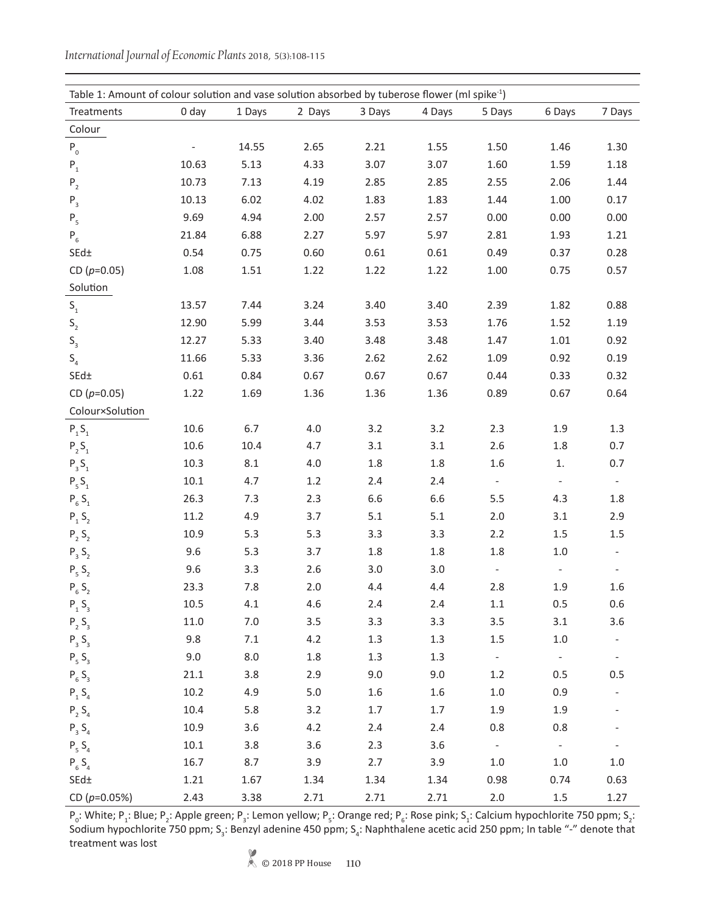| International Journal of Economic Plants 2018, 5(3):108-115 |  |  |  |
|-------------------------------------------------------------|--|--|--|
|-------------------------------------------------------------|--|--|--|

| Table 1: Amount of colour solution and vase solution absorbed by tuberose flower (ml spike <sup>-1</sup> ) |          |         |         |         |         |                          |                          |                          |
|------------------------------------------------------------------------------------------------------------|----------|---------|---------|---------|---------|--------------------------|--------------------------|--------------------------|
| Treatments                                                                                                 | 0 day    | 1 Days  | 2 Days  | 3 Days  | 4 Days  | 5 Days                   | 6 Days                   | 7 Days                   |
| Colour                                                                                                     |          |         |         |         |         |                          |                          |                          |
| $P_0$                                                                                                      |          | 14.55   | 2.65    | 2.21    | 1.55    | 1.50                     | 1.46                     | 1.30                     |
| ${\sf P}_1$                                                                                                | 10.63    | 5.13    | 4.33    | 3.07    | 3.07    | 1.60                     | 1.59                     | 1.18                     |
| ${\sf P}_{_2}$                                                                                             | 10.73    | 7.13    | 4.19    | 2.85    | 2.85    | 2.55                     | 2.06                     | 1.44                     |
| ${\sf P}_{_3}$                                                                                             | 10.13    | 6.02    | 4.02    | 1.83    | 1.83    | 1.44                     | 1.00                     | 0.17                     |
| $\mathsf{P}_{\mathsf{5}}$                                                                                  | 9.69     | 4.94    | 2.00    | 2.57    | 2.57    | 0.00                     | 0.00                     | 0.00                     |
| $P_6$                                                                                                      | 21.84    | 6.88    | 2.27    | 5.97    | 5.97    | 2.81                     | 1.93                     | 1.21                     |
| SEd±                                                                                                       | 0.54     | 0.75    | 0.60    | 0.61    | 0.61    | 0.49                     | 0.37                     | 0.28                     |
| CD $(p=0.05)$                                                                                              | 1.08     | 1.51    | 1.22    | 1.22    | 1.22    | 1.00                     | 0.75                     | 0.57                     |
| Solution                                                                                                   |          |         |         |         |         |                          |                          |                          |
| $\mathsf{S}_\mathsf{1}$                                                                                    | 13.57    | 7.44    | 3.24    | 3.40    | 3.40    | 2.39                     | 1.82                     | 0.88                     |
| $\mathsf{S}_{\mathsf{2}}$                                                                                  | 12.90    | 5.99    | 3.44    | 3.53    | 3.53    | 1.76                     | 1.52                     | 1.19                     |
| $\mathsf{S}_{_{\!3}}$                                                                                      | 12.27    | 5.33    | 3.40    | 3.48    | 3.48    | 1.47                     | 1.01                     | 0.92                     |
| $S_4$                                                                                                      | 11.66    | 5.33    | 3.36    | 2.62    | 2.62    | 1.09                     | 0.92                     | 0.19                     |
| SEd±                                                                                                       | 0.61     | 0.84    | 0.67    | 0.67    | 0.67    | 0.44                     | 0.33                     | 0.32                     |
| CD $(p=0.05)$                                                                                              | 1.22     | 1.69    | 1.36    | 1.36    | 1.36    | 0.89                     | 0.67                     | 0.64                     |
| Colour×Solution                                                                                            |          |         |         |         |         |                          |                          |                          |
| ${\sf P}_{{}_1}{\sf S}_{{}_1}$                                                                             | 10.6     | 6.7     | 4.0     | 3.2     | 3.2     | 2.3                      | 1.9                      | $1.3\,$                  |
| $\mathsf{P}_{_2}\mathsf{S}_{_1}$                                                                           | 10.6     | 10.4    | 4.7     | 3.1     | 3.1     | 2.6                      | 1.8                      | 0.7                      |
| $P_3S_1$                                                                                                   | 10.3     | 8.1     | 4.0     | 1.8     | 1.8     | 1.6                      | 1.                       | 0.7                      |
| $\mathsf{P}_{_5}\mathsf{S}_{_1}$                                                                           | $10.1\,$ | 4.7     | 1.2     | 2.4     | 2.4     | $\overline{\phantom{a}}$ | $\overline{\phantom{a}}$ | $\overline{\phantom{a}}$ |
| $P_6S_1$                                                                                                   | 26.3     | 7.3     | 2.3     | 6.6     | 6.6     | 5.5                      | 4.3                      | $1.8\,$                  |
| $P_1S_2$                                                                                                   | 11.2     | 4.9     | 3.7     | 5.1     | 5.1     | 2.0                      | 3.1                      | 2.9                      |
| $P_2S_2$                                                                                                   | 10.9     | 5.3     | 5.3     | 3.3     | 3.3     | 2.2                      | 1.5                      | $1.5\,$                  |
| $P_3 S_2$                                                                                                  | 9.6      | 5.3     | 3.7     | 1.8     | 1.8     | 1.8                      | $1.0\,$                  |                          |
| $P_5S_2$                                                                                                   | 9.6      | 3.3     | 2.6     | 3.0     | 3.0     | $\overline{\phantom{a}}$ |                          |                          |
| $P_6S_2$                                                                                                   | 23.3     | 7.8     | 2.0     | 4.4     | 4.4     | 2.8                      | 1.9                      | 1.6                      |
| $P_1 S_3$                                                                                                  | 10.5     | 4.1     | 4.6     | 2.4     | 2.4     | $1.1\,$                  | 0.5                      | 0.6                      |
| $P_2S_3$                                                                                                   | 11.0     | $7.0\,$ | 3.5     | 3.3     | 3.3     | $3.5\,$                  | 3.1                      | 3.6                      |
| $P_3S_3$                                                                                                   | 9.8      | $7.1$   | 4.2     | 1.3     | 1.3     | 1.5                      | $1.0\,$                  |                          |
| $P_5S_3$                                                                                                   | 9.0      | 8.0     | $1.8\,$ | 1.3     | 1.3     | $\equiv$                 | $\omega_{\rm c}$         |                          |
| $P_6S_3$                                                                                                   | 21.1     | 3.8     | 2.9     | 9.0     | 9.0     | 1.2                      | 0.5                      | 0.5                      |
| $P_1S_4$                                                                                                   | 10.2     | 4.9     | 5.0     | 1.6     | 1.6     | $1.0\,$                  | 0.9                      |                          |
| $P_2 S_4$                                                                                                  | 10.4     | 5.8     | 3.2     | $1.7\,$ | $1.7\,$ | 1.9                      | 1.9                      |                          |
| $P_3 S_4$                                                                                                  | 10.9     | 3.6     | 4.2     | 2.4     | 2.4     | 0.8                      | 0.8                      |                          |
| $P_5S_4$                                                                                                   | $10.1\,$ | 3.8     | 3.6     | 2.3     | 3.6     | $\omega_{\rm c}$         | $\mathbb{Z}^2$           | $\overline{\phantom{a}}$ |
| $P_6S_4$                                                                                                   | 16.7     | 8.7     | 3.9     | 2.7     | 3.9     | $1.0\,$                  | $1.0\,$                  | $1.0\,$                  |
| $SEd\pm$                                                                                                   | 1.21     | 1.67    | 1.34    | 1.34    | 1.34    | 0.98                     | 0.74                     | 0.63                     |
| CD ( $p=0.05%$ )                                                                                           | 2.43     | 3.38    | 2.71    | 2.71    | 2.71    | $2.0\,$                  | $1.5\,$                  | 1.27                     |

 $P_o$ : White;  $P_1$ : Blue;  $P_2$ : Apple green;  $P_3$ : Lemon yellow;  $P_5$ : Orange red;  $P_6$ : Rose pink; S<sub>1</sub>: Calcium hypochlorite 750 ppm; S<sub>2</sub>: Sodium hypochlorite 750 ppm; S<sub>3</sub>: Benzyl adenine 450 ppm; S<sub>4</sub>: Naphthalene acetic acid 250 ppm; In table "-" denote that treatment was lost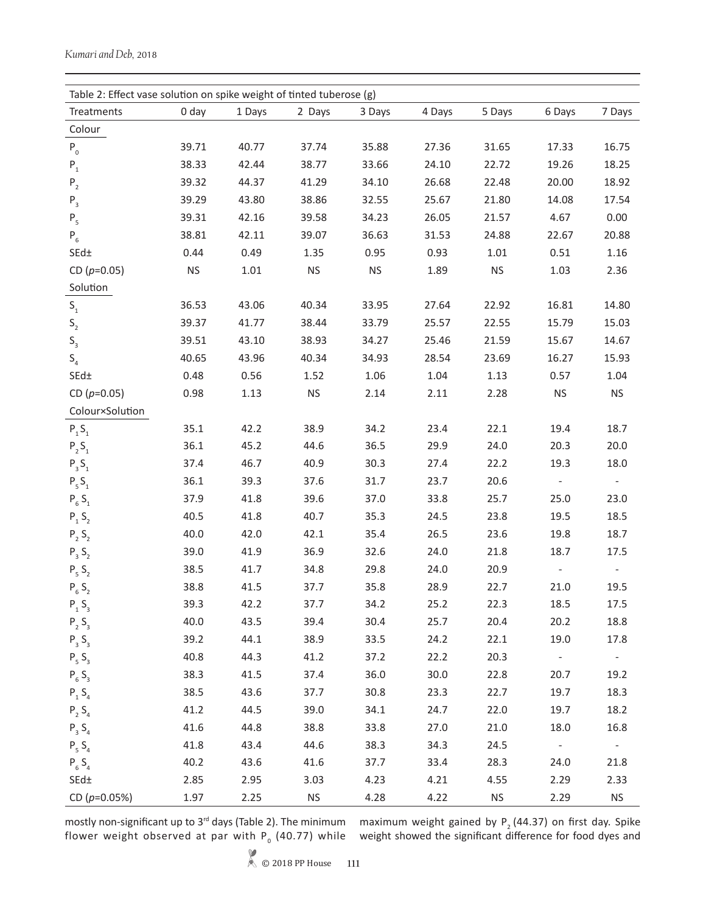| Table 2: Effect vase solution on spike weight of tinted tuberose (g) |           |        |                      |                      |        |           |                          |                          |
|----------------------------------------------------------------------|-----------|--------|----------------------|----------------------|--------|-----------|--------------------------|--------------------------|
| Treatments                                                           | $0$ day   | 1 Days | 2 Days               | 3 Days               | 4 Days | 5 Days    | 6 Days                   | 7 Days                   |
| Colour                                                               |           |        |                      |                      |        |           |                          |                          |
| $P_0$                                                                | 39.71     | 40.77  | 37.74                | 35.88                | 27.36  | 31.65     | 17.33                    | 16.75                    |
| ${\sf P}_1$                                                          | 38.33     | 42.44  | 38.77                | 33.66                | 24.10  | 22.72     | 19.26                    | 18.25                    |
| $\mathsf{P}_{_{2}}$                                                  | 39.32     | 44.37  | 41.29                | 34.10                | 26.68  | 22.48     | 20.00                    | 18.92                    |
| ${\sf P}_{_3}$                                                       | 39.29     | 43.80  | 38.86                | 32.55                | 25.67  | 21.80     | 14.08                    | 17.54                    |
| ${\sf P}_{_5}$                                                       | 39.31     | 42.16  | 39.58                | 34.23                | 26.05  | 21.57     | 4.67                     | 0.00                     |
| $P_6$                                                                | 38.81     | 42.11  | 39.07                | 36.63                | 31.53  | 24.88     | 22.67                    | 20.88                    |
| $SEd\pm$                                                             | 0.44      | 0.49   | 1.35                 | 0.95                 | 0.93   | 1.01      | 0.51                     | 1.16                     |
| CD $(p=0.05)$                                                        | <b>NS</b> | 1.01   | $\mathsf{NS}\xspace$ | $\mathsf{NS}\xspace$ | 1.89   | <b>NS</b> | 1.03                     | 2.36                     |
| Solution                                                             |           |        |                      |                      |        |           |                          |                          |
| $\mathsf{S}_\mathsf{1}$                                              | 36.53     | 43.06  | 40.34                | 33.95                | 27.64  | 22.92     | 16.81                    | 14.80                    |
| $\mathsf{S}_{\mathsf{2}}$                                            | 39.37     | 41.77  | 38.44                | 33.79                | 25.57  | 22.55     | 15.79                    | 15.03                    |
| $\mathsf{S}_{_{\!3}}$                                                | 39.51     | 43.10  | 38.93                | 34.27                | 25.46  | 21.59     | 15.67                    | 14.67                    |
| S <sub>4</sub>                                                       | 40.65     | 43.96  | 40.34                | 34.93                | 28.54  | 23.69     | 16.27                    | 15.93                    |
| $\mathsf{SEd}\pm$                                                    | 0.48      | 0.56   | 1.52                 | 1.06                 | 1.04   | 1.13      | 0.57                     | 1.04                     |
| CD $(p=0.05)$                                                        | 0.98      | 1.13   | $\mathsf{NS}\xspace$ | 2.14                 | 2.11   | 2.28      | $\mathsf{NS}\xspace$     | <b>NS</b>                |
| Colour×Solution                                                      |           |        |                      |                      |        |           |                          |                          |
| $P_1S_1$                                                             | 35.1      | 42.2   | 38.9                 | 34.2                 | 23.4   | 22.1      | 19.4                     | 18.7                     |
| $P_2S_1$                                                             | 36.1      | 45.2   | 44.6                 | 36.5                 | 29.9   | 24.0      | 20.3                     | 20.0                     |
| $P_3S_1$                                                             | 37.4      | 46.7   | 40.9                 | 30.3                 | 27.4   | 22.2      | 19.3                     | 18.0                     |
| $P_5S_1$                                                             | 36.1      | 39.3   | 37.6                 | 31.7                 | 23.7   | 20.6      | $\overline{\phantom{a}}$ | $\equiv$                 |
| $P_6S_1$                                                             | 37.9      | 41.8   | 39.6                 | 37.0                 | 33.8   | 25.7      | 25.0                     | 23.0                     |
| $P_1 S_2$                                                            | 40.5      | 41.8   | 40.7                 | 35.3                 | 24.5   | 23.8      | 19.5                     | 18.5                     |
| $P_2S_2$                                                             | 40.0      | 42.0   | 42.1                 | 35.4                 | 26.5   | 23.6      | 19.8                     | 18.7                     |
| $P_3 S_2$                                                            | 39.0      | 41.9   | 36.9                 | 32.6                 | 24.0   | 21.8      | 18.7                     | 17.5                     |
| $P_5S_2$                                                             | 38.5      | 41.7   | 34.8                 | 29.8                 | 24.0   | 20.9      |                          |                          |
| $P_6S_2$                                                             | 38.8      | 41.5   | 37.7                 | 35.8                 | 28.9   | 22.7      | 21.0                     | 19.5                     |
| $P_1 S_3$                                                            | 39.3      | 42.2   | 37.7                 | 34.2                 | 25.2   | 22.3      | 18.5                     | 17.5                     |
| $P_2 S_3$                                                            | 40.0      | 43.5   | 39.4                 | 30.4                 | 25.7   | 20.4      | 20.2                     | 18.8                     |
| $P_3S_3$                                                             | 39.2      | 44.1   | 38.9                 | 33.5                 | 24.2   | 22.1      | 19.0                     | 17.8                     |
| $P_5S_3$                                                             | 40.8      | 44.3   | 41.2                 | 37.2                 | 22.2   | 20.3      |                          | $\overline{\phantom{a}}$ |
| $P_6S_3$                                                             | 38.3      | 41.5   | 37.4                 | 36.0                 | 30.0   | 22.8      | 20.7                     | 19.2                     |
| $P_1 S_4$                                                            | 38.5      | 43.6   | 37.7                 | 30.8                 | 23.3   | 22.7      | 19.7                     | 18.3                     |
| $P_2 S_4$                                                            | 41.2      | 44.5   | 39.0                 | 34.1                 | 24.7   | 22.0      | 19.7                     | 18.2                     |
| $P_3 S_4$                                                            | 41.6      | 44.8   | 38.8                 | 33.8                 | 27.0   | 21.0      | 18.0                     | 16.8                     |
| $P_5S_4$                                                             | 41.8      | 43.4   | 44.6                 | 38.3                 | 34.3   | 24.5      | $\sim$                   | $\sim$                   |
| $P_6S_4$                                                             | 40.2      | 43.6   | 41.6                 | 37.7                 | 33.4   | 28.3      | 24.0                     | 21.8                     |
| $\mathsf{SEd}\pm$                                                    | 2.85      | 2.95   | 3.03                 | 4.23                 | 4.21   | 4.55      | 2.29                     | 2.33                     |
| CD ( $p=0.05%$ )                                                     | 1.97      | 2.25   | <b>NS</b>            | 4.28                 | 4.22   | <b>NS</b> | 2.29                     | <b>NS</b>                |

mostly non-significant up to 3rd days (Table 2). The minimum flower weight observed at par with  $P_{0}^{{}}$  (40.77) while maximum weight gained by  $P_2$  (44.37) on first day. Spike weight showed the significant difference for food dyes and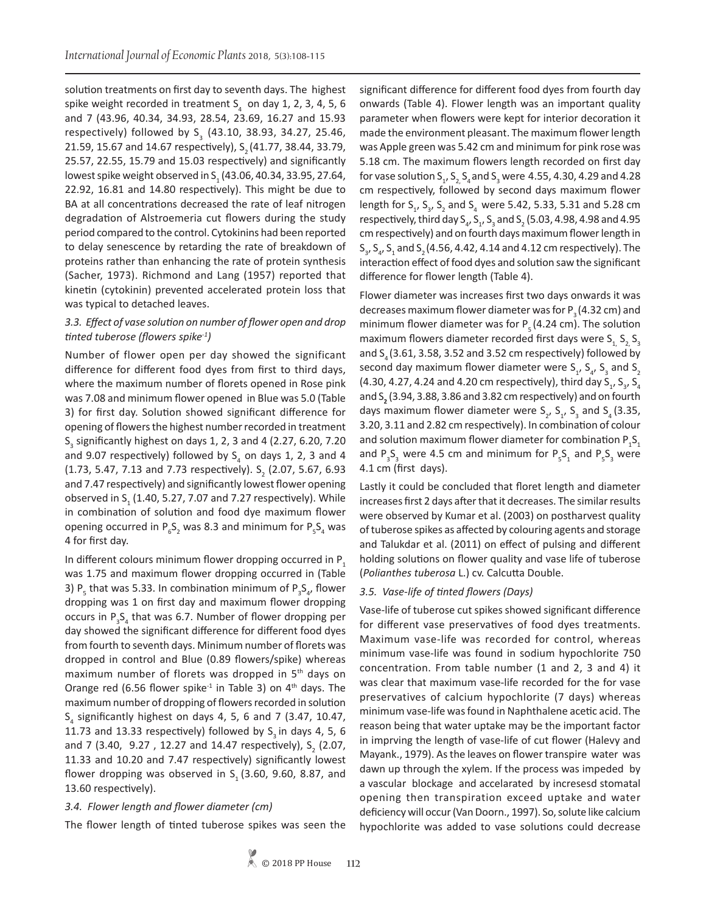solution treatments on first day to seventh days. The highest spike weight recorded in treatment  $S_4$  on day 1, 2, 3, 4, 5, 6 and 7 (43.96, 40.34, 34.93, 28.54, 23.69, 16.27 and 15.93 respectively) followed by S<sub>2</sub> (43.10, 38.93, 34.27, 25.46, 21.59, 15.67 and 14.67 respectively), S<sub>2</sub> (41.77, 38.44, 33.79, 25.57, 22.55, 15.79 and 15.03 respectively) and significantly lowest spike weight observed in S<sub>1</sub> (43.06, 40.34, 33.95, 27.64, 22.92, 16.81 and 14.80 respectively). This might be due to BA at all concentrations decreased the rate of leaf nitrogen degradation of Alstroemeria cut flowers during the study period compared to the control. Cytokinins had been reported to delay senescence by retarding the rate of breakdown of proteins rather than enhancing the rate of protein synthesis (Sacher, 1973). Richmond and Lang (1957) reported that kinetin (cytokinin) prevented accelerated protein loss that was typical to detached leaves.

# *3.3. Effect of vase solution on number of flower open and drop tinted tuberose (flowers spike-1)*

Number of flower open per day showed the significant difference for different food dyes from first to third days, where the maximum number of florets opened in Rose pink was 7.08 and minimum flower opened in Blue was 5.0 (Table 3) for first day. Solution showed significant difference for opening of flowers the highest number recorded in treatment  $S<sub>3</sub>$  significantly highest on days 1, 2, 3 and 4 (2.27, 6.20, 7.20 and 9.07 respectively) followed by  $S<sub>A</sub>$  on days 1, 2, 3 and 4 (1.73, 5.47, 7.13 and 7.73 respectively).  $S_2$  (2.07, 5.67, 6.93 and 7.47 respectively) and significantly lowest flower opening observed in  $S<sub>1</sub>$  (1.40, 5.27, 7.07 and 7.27 respectively). While in combination of solution and food dye maximum flower opening occurred in  $P_6S_2$  was 8.3 and minimum for  $P_5S_4$  was 4 for first day.

In different colours minimum flower dropping occurred in P<sub>1</sub> was 1.75 and maximum flower dropping occurred in (Table 3)  $P_5$  that was 5.33. In combination minimum of  $P_3S_{4}$ , flower dropping was 1 on first day and maximum flower dropping occurs in  $P_{3}S_{4}$  that was 6.7. Number of flower dropping per day showed the significant difference for different food dyes from fourth to seventh days. Minimum number of florets was dropped in control and Blue (0.89 flowers/spike) whereas maximum number of florets was dropped in 5th days on Orange red (6.56 flower spike<sup>-1</sup> in Table 3) on  $4<sup>th</sup>$  days. The maximum number of dropping of flowers recorded in solution  $S<sub>4</sub>$  significantly highest on days 4, 5, 6 and 7 (3.47, 10.47, 11.73 and 13.33 respectively) followed by  $S<sub>3</sub>$  in days 4, 5, 6 and 7 (3.40, 9.27, 12.27 and 14.47 respectively),  $S_2^2$  (2.07, 11.33 and 10.20 and 7.47 respectively) significantly lowest flower dropping was observed in  $S<sub>1</sub>$  (3.60, 9.60, 8.87, and 13.60 respectively).

### *3.4. Flower length and flower diameter (cm)*

The flower length of tinted tuberose spikes was seen the

significant difference for different food dyes from fourth day onwards (Table 4). Flower length was an important quality parameter when flowers were kept for interior decoration it made the environment pleasant. The maximum flower length was Apple green was 5.42 cm and minimum for pink rose was 5.18 cm. The maximum flowers length recorded on first day for vase solution  $S_{1}$ ,  $S_{2}$ ,  $S_{4}$  and  $S_{3}$  were 4.55, 4.30, 4.29 and 4.28 cm respectively, followed by second days maximum flower length for  $S_1$ ,  $S_3$ ,  $S_2$  and  $S_4$  were 5.42, 5.33, 5.31 and 5.28 cm respectively, third day  $S_4$ ,  $S_1$ ,  $S_3$  and  $S_2$  (5.03, 4.98, 4.98 and 4.95 cm respectively) and on fourth days maximum flower length in  $S_{3}$ ,  $S_{4}$ ,  $S_{1}$  and  $S_{2}$  (4.56, 4.42, 4.14 and 4.12 cm respectively). The interaction effect of food dyes and solution saw the significant difference for flower length (Table 4).

Flower diameter was increases first two days onwards it was decreases maximum flower diameter was for  $P_3$  (4.32 cm) and minimum flower diameter was for  $P_5$  (4.24 cm). The solution maximum flowers diameter recorded first days were  $S_1$ ,  $S_2$ ,  $S_3$ and  $S<sub>4</sub>$  (3.61, 3.58, 3.52 and 3.52 cm respectively) followed by second day maximum flower diameter were  $S_1$ ,  $S_4$ ,  $S_3$  and  $S_2$ (4.30, 4.27, 4.24 and 4.20 cm respectively), third day  $S_1$ ,  $S_3$ ,  $S_4$ and S**<sup>2</sup>** (3.94, 3.88, 3.86 and 3.82 cm respectively) and on fourth days maximum flower diameter were  $S_2$ ,  $S_1$ ,  $S_3$  and  $S_4$  (3.35, 3.20, 3.11 and 2.82 cm respectively). In combination of colour and solution maximum flower diameter for combination  $P_1S_1$ and  $P_3S_3$  were 4.5 cm and minimum for  $P_5S_1$  and  $P_5S_3$  were 4.1 cm (first days).

Lastly it could be concluded that floret length and diameter increases first 2 days after that it decreases. The similar results were observed by Kumar et al. (2003) on postharvest quality of tuberose spikes as affected by colouring agents and storage and Talukdar et al. (2011) on effect of pulsing and different holding solutions on flower quality and vase life of tuberose (*Polianthes tuberosa* L.) cv. Calcutta Double.

### *3.5. Vase-life of tinted flowers (Days)*

Vase-life of tuberose cut spikes showed significant difference for different vase preservatives of food dyes treatments. Maximum vase-life was recorded for control, whereas minimum vase-life was found in sodium hypochlorite 750 concentration. From table number (1 and 2, 3 and 4) it was clear that maximum vase-life recorded for the for vase preservatives of calcium hypochlorite (7 days) whereas minimum vase-life was found in Naphthalene acetic acid. The reason being that water uptake may be the important factor in imprving the length of vase-life of cut flower (Halevy and Mayank., 1979). As the leaves on flower transpire water was dawn up through the xylem. If the process was impeded by a vascular blockage and accelarated by incresesd stomatal opening then transpiration exceed uptake and water deficiency will occur (Van Doorn., 1997). So, solute like calcium hypochlorite was added to vase solutions could decrease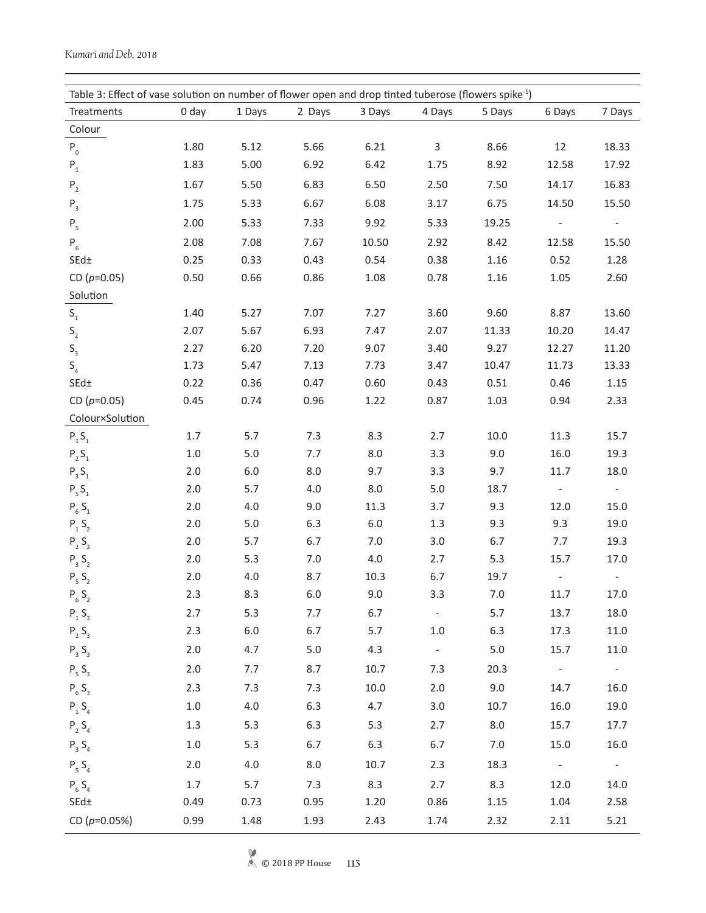| Table 3: Effect of vase solution on number of flower open and drop tinted tuberose (flowers spike <sup>-1</sup> ) |         |         |         |         |                     |        |                 |                          |
|-------------------------------------------------------------------------------------------------------------------|---------|---------|---------|---------|---------------------|--------|-----------------|--------------------------|
| Treatments                                                                                                        | 0 day   | 1 Days  | 2 Days  | 3 Days  | 4 Days              | 5 Days | 6 Days          | 7 Days                   |
| Colour                                                                                                            |         |         |         |         |                     |        |                 |                          |
| $P_0$                                                                                                             | 1.80    | 5.12    | 5.66    | 6.21    | $\mathsf{3}$        | 8.66   | 12              | 18.33                    |
| ${\sf P}_1$                                                                                                       | 1.83    | 5.00    | 6.92    | 6.42    | 1.75                | 8.92   | 12.58           | 17.92                    |
| $P_{2}$                                                                                                           | 1.67    | 5.50    | 6.83    | 6.50    | 2.50                | 7.50   | 14.17           | 16.83                    |
| $P_3$                                                                                                             | 1.75    | 5.33    | 6.67    | 6.08    | 3.17                | 6.75   | 14.50           | 15.50                    |
| $P_5$                                                                                                             | 2.00    | 5.33    | 7.33    | 9.92    | 5.33                | 19.25  |                 |                          |
| $P_6$                                                                                                             | 2.08    | 7.08    | 7.67    | 10.50   | 2.92                | 8.42   | 12.58           | 15.50                    |
| $SEd\pm$                                                                                                          | 0.25    | 0.33    | 0.43    | 0.54    | 0.38                | 1.16   | 0.52            | 1.28                     |
| CD $(p=0.05)$                                                                                                     | 0.50    | 0.66    | 0.86    | 1.08    | 0.78                | 1.16   | 1.05            | 2.60                     |
| Solution                                                                                                          |         |         |         |         |                     |        |                 |                          |
| $\mathsf{S}_\mathsf{1}$                                                                                           | 1.40    | 5.27    | 7.07    | 7.27    | 3.60                | 9.60   | 8.87            | 13.60                    |
| $\mathsf{S}_{\mathsf{2}}$                                                                                         | 2.07    | 5.67    | 6.93    | 7.47    | 2.07                | 11.33  | 10.20           | 14.47                    |
| $\mathsf{S}_{_{\!3}}$                                                                                             | 2.27    | 6.20    | 7.20    | 9.07    | 3.40                | 9.27   | 12.27           | 11.20                    |
| S <sub>4</sub>                                                                                                    | 1.73    | 5.47    | 7.13    | 7.73    | 3.47                | 10.47  | 11.73           | 13.33                    |
| SEd±                                                                                                              | 0.22    | 0.36    | 0.47    | 0.60    | 0.43                | 0.51   | 0.46            | 1.15                     |
| CD $(p=0.05)$                                                                                                     | 0.45    | 0.74    | 0.96    | 1.22    | 0.87                | 1.03   | 0.94            | 2.33                     |
| Colour×Solution                                                                                                   |         |         |         |         |                     |        |                 |                          |
| ${\sf P}_{{}_1}{\sf S}_{{}_1}$                                                                                    | 1.7     | 5.7     | 7.3     | 8.3     | 2.7                 | 10.0   | 11.3            | 15.7                     |
| $\mathsf{P}_{_2}\mathsf{S}_{_1}$                                                                                  | $1.0\,$ | $5.0$   | 7.7     | 8.0     | 3.3                 | 9.0    | 16.0            | 19.3                     |
| $\mathsf{P}_{\mathsf{3}}\,\mathsf{S}_{\mathsf{1}}$                                                                | 2.0     | $6.0\,$ | 8.0     | 9.7     | 3.3                 | 9.7    | 11.7            | 18.0                     |
| $P_5S_1$                                                                                                          | 2.0     | 5.7     | 4.0     | $8.0\,$ | $5.0\,$             | 18.7   | $\blacksquare$  | $\overline{\phantom{a}}$ |
| $P_6S_1$                                                                                                          | 2.0     | 4.0     | 9.0     | 11.3    | 3.7                 | 9.3    | 12.0            | 15.0                     |
| $P_1 S_2$                                                                                                         | 2.0     | $5.0$   | 6.3     | $6.0\,$ | 1.3                 | 9.3    | 9.3             | 19.0                     |
| $P_2S_2$                                                                                                          | 2.0     | 5.7     | 6.7     | 7.0     | 3.0                 | 6.7    | 7.7             | 19.3                     |
| $P_3 S_2$                                                                                                         | 2.0     | 5.3     | 7.0     | 4.0     | 2.7                 | 5.3    | 15.7            | 17.0                     |
| $P_5S_2$                                                                                                          | $2.0\,$ | $4.0\,$ | 8.7     | 10.3    | 6.7                 | 19.7   |                 |                          |
| $P_6S_2$                                                                                                          | 2.3     | 8.3     | $6.0\,$ | 9.0     | 3.3                 | 7.0    | 11.7            | 17.0                     |
| $P_1S_3$                                                                                                          | 2.7     | 5.3     | 7.7     | 6.7     | $\sim$              | 5.7    | 13.7            | 18.0                     |
| $P_2 S_3$                                                                                                         | 2.3     | $6.0\,$ | 6.7     | 5.7     | 1.0                 | 6.3    | 17.3            | $11.0\,$                 |
| $P_3S_3$                                                                                                          | 2.0     | 4.7     | 5.0     | 4.3     | $\sigma_{\rm{eff}}$ | 5.0    | 15.7            | $11.0\,$                 |
| $P_5S_3$                                                                                                          | 2.0     | 7.7     | 8.7     | 10.7    | 7.3                 | 20.3   | $\sim 10^{-11}$ | $\sim$ $-$               |
| $P_6S_3$                                                                                                          | 2.3     | 7.3     | 7.3     | 10.0    | 2.0                 | 9.0    | 14.7            | 16.0                     |
| $P_1 S_4$                                                                                                         | $1.0\,$ | 4.0     | 6.3     | 4.7     | 3.0                 | 10.7   | 16.0            | 19.0                     |
| $P_2 S_4$                                                                                                         | 1.3     | 5.3     | 6.3     | 5.3     | 2.7                 | 8.0    | 15.7            | 17.7                     |
| $P_3 S_4$                                                                                                         | $1.0\,$ | 5.3     | 6.7     | 6.3     | 6.7                 | 7.0    | 15.0            | 16.0                     |
| $P_5S_4$                                                                                                          | 2.0     | 4.0     | 8.0     | 10.7    | 2.3                 | 18.3   | $\sim 10^{-10}$ | $\sim$ $ \sim$           |
| $P_6S_4$                                                                                                          | 1.7     | 5.7     | 7.3     | 8.3     | 2.7                 | 8.3    | 12.0            | 14.0                     |
| $SEd\pm$                                                                                                          | 0.49    | 0.73    | 0.95    | 1.20    | 0.86                | 1.15   | 1.04            | 2.58                     |
| CD ( $p=0.05%$ )                                                                                                  | 0.99    | 1.48    | 1.93    | 2.43    | 1.74                | 2.32   | 2.11            | 5.21                     |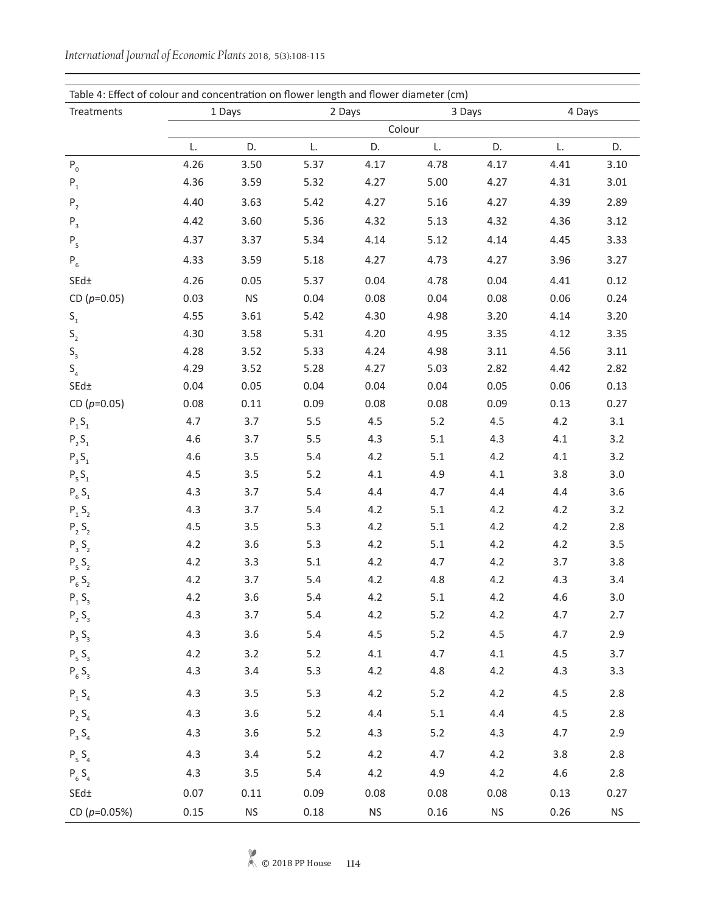| Table 4: Effect of colour and concentration on flower length and flower diameter (cm) |        |                      |        |           |        |                      |        |           |
|---------------------------------------------------------------------------------------|--------|----------------------|--------|-----------|--------|----------------------|--------|-----------|
| Treatments                                                                            | 1 Days |                      | 2 Days |           | 3 Days |                      | 4 Days |           |
|                                                                                       |        |                      |        | Colour    |        |                      |        |           |
|                                                                                       | L.     | D.                   | L.     | D.        | L.     | D.                   | L.     | D.        |
| ${\sf P}_{{}_0}$                                                                      | 4.26   | 3.50                 | 5.37   | 4.17      | 4.78   | 4.17                 | 4.41   | 3.10      |
| ${\sf P}_{{}_1}$                                                                      | 4.36   | 3.59                 | 5.32   | 4.27      | 5.00   | 4.27                 | 4.31   | 3.01      |
| $\mathsf{P}_{_{2}}$                                                                   | 4.40   | 3.63                 | 5.42   | 4.27      | 5.16   | 4.27                 | 4.39   | 2.89      |
| $\mathsf{P}_{_3}$                                                                     | 4.42   | 3.60                 | 5.36   | 4.32      | 5.13   | 4.32                 | 4.36   | 3.12      |
| $\mathsf{P}_{_5}$                                                                     | 4.37   | 3.37                 | 5.34   | 4.14      | 5.12   | 4.14                 | 4.45   | 3.33      |
| $P_6$                                                                                 | 4.33   | 3.59                 | 5.18   | 4.27      | 4.73   | 4.27                 | 3.96   | 3.27      |
| $SEd\pm$                                                                              | 4.26   | 0.05                 | 5.37   | 0.04      | 4.78   | 0.04                 | 4.41   | 0.12      |
| CD $(p=0.05)$                                                                         | 0.03   | <b>NS</b>            | 0.04   | 0.08      | 0.04   | 0.08                 | 0.06   | 0.24      |
| $\mathsf{S}_\mathsf{1}$                                                               | 4.55   | 3.61                 | 5.42   | 4.30      | 4.98   | 3.20                 | 4.14   | 3.20      |
| $\mathsf{S}_{\mathsf{2}}$                                                             | 4.30   | 3.58                 | 5.31   | 4.20      | 4.95   | 3.35                 | 4.12   | 3.35      |
| $\mathsf{S}_{_{\!3}}$                                                                 | 4.28   | 3.52                 | 5.33   | 4.24      | 4.98   | 3.11                 | 4.56   | 3.11      |
| $\mathsf{S}_{\scriptscriptstyle{4}}$                                                  | 4.29   | 3.52                 | 5.28   | 4.27      | 5.03   | 2.82                 | 4.42   | 2.82      |
| $\mathsf{SEd}\pm$                                                                     | 0.04   | 0.05                 | 0.04   | 0.04      | 0.04   | 0.05                 | 0.06   | 0.13      |
| CD $(p=0.05)$                                                                         | 0.08   | 0.11                 | 0.09   | 0.08      | 0.08   | 0.09                 | 0.13   | 0.27      |
| $P_1S_1$                                                                              | 4.7    | 3.7                  | 5.5    | 4.5       | 5.2    | 4.5                  | 4.2    | 3.1       |
| $P_2S_1$                                                                              | 4.6    | 3.7                  | 5.5    | 4.3       | 5.1    | 4.3                  | 4.1    | 3.2       |
| $P_3S_1$                                                                              | 4.6    | 3.5                  | 5.4    | 4.2       | 5.1    | 4.2                  | 4.1    | 3.2       |
| $P_5S_1$                                                                              | 4.5    | 3.5                  | 5.2    | 4.1       | 4.9    | 4.1                  | 3.8    | 3.0       |
| $P_6S_1$                                                                              | 4.3    | 3.7                  | 5.4    | 4.4       | 4.7    | 4.4                  | 4.4    | 3.6       |
| ${\sf P}_{{}_1}\,{\sf S}_{{}_2}$                                                      | 4.3    | 3.7                  | 5.4    | 4.2       | 5.1    | 4.2                  | 4.2    | 3.2       |
| $P_2S_2$                                                                              | 4.5    | 3.5                  | 5.3    | 4.2       | 5.1    | 4.2                  | 4.2    | $2.8\,$   |
| $P_3 S_2$                                                                             | 4.2    | 3.6                  | 5.3    | 4.2       | 5.1    | 4.2                  | 4.2    | 3.5       |
| $P_5S_2$                                                                              | 4.2    | 3.3                  | 5.1    | 4.2       | 4.7    | 4.2                  | 3.7    | 3.8       |
| $P_6S_2$                                                                              | 4.2    | 3.7                  | 5.4    | 4.2       | 4.8    | 4.2                  | 4.3    | 3.4       |
| ${\sf P}_{{}_1}\,{\sf S}_{{}_3}$                                                      | 4.2    | 3.6                  | 5.4    | 4.2       | 5.1    | 4.2                  | 4.6    | 3.0       |
| $P_2 S_3$                                                                             | 4.3    | 3.7                  | 5.4    | 4.2       | 5.2    | 4.2                  | 4.7    | 2.7       |
| $P_3S_3$                                                                              | 4.3    | 3.6                  | 5.4    | 4.5       | 5.2    | 4.5                  | 4.7    | 2.9       |
| $P_5S_3$                                                                              | 4.2    | 3.2                  | $5.2$  | 4.1       | 4.7    | 4.1                  | 4.5    | 3.7       |
| $P_6S_3$                                                                              | 4.3    | 3.4                  | $5.3$  | 4.2       | 4.8    | 4.2                  | 4.3    | 3.3       |
| $P_1 S_4$                                                                             | 4.3    | 3.5                  | 5.3    | 4.2       | $5.2$  | 4.2                  | 4.5    | 2.8       |
| $P_2S_4$                                                                              | 4.3    | 3.6                  | $5.2$  | 4.4       | 5.1    | 4.4                  | 4.5    | 2.8       |
| $P_3 S_4$                                                                             | 4.3    | 3.6                  | $5.2$  | 4.3       | $5.2$  | 4.3                  | 4.7    | 2.9       |
| $P_5S_4$                                                                              | 4.3    | 3.4                  | 5.2    | 4.2       | 4.7    | 4.2                  | 3.8    | 2.8       |
| $P_6S_4$                                                                              | 4.3    | 3.5                  | 5.4    | 4.2       | 4.9    | 4.2                  | 4.6    | $2.8\,$   |
| $SEd\pm$                                                                              | 0.07   | 0.11                 | 0.09   | 0.08      | 0.08   | 0.08                 | 0.13   | 0.27      |
| CD ( $p=0.05%$ )                                                                      | 0.15   | $\mathsf{NS}\xspace$ | 0.18   | <b>NS</b> | 0.16   | $\mathsf{NS}\xspace$ | 0.26   | <b>NS</b> |

*International Journal of Economic Plants* 2018, 5(3):108-115